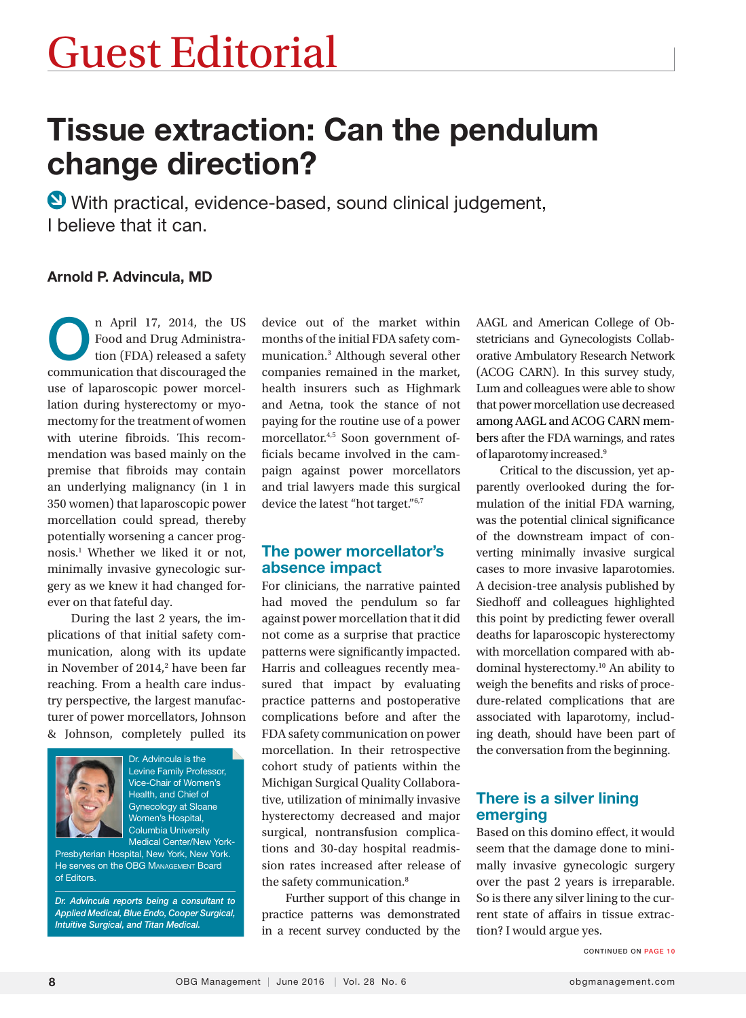# Tissue extraction: Can the pendulum change direction?

 With practical, evidence-based, sound clinical judgement, I believe that it can.

#### Arnold P. Advincula, MD

n April 17, 2014, the US<br>Food and Drug Administration (FDA) released a safety Food and Drug Administration (FDA) released a safety communication that discouraged the use of laparoscopic power morcellation during hysterectomy or myomectomy for the treatment of women with uterine fibroids. This recommendation was based mainly on the premise that fibroids may contain an underlying malignancy (in 1 in 350 women) that laparoscopic power morcellation could spread, thereby potentially worsening a cancer prognosis.1 Whether we liked it or not, minimally invasive gynecologic surgery as we knew it had changed forever on that fateful day.

During the last 2 years, the implications of that initial safety communication, along with its update in November of 2014,<sup>2</sup> have been far reaching. From a health care industry perspective, the largest manufacturer of power morcellators, Johnson & Johnson, completely pulled its



Dr. Advincula is the Levine Family Professor, Vice-Chair of Women's Health, and Chief of Gynecology at Sloane Women's Hospital, Columbia University Medical Center/New York-

Presbyterian Hospital, New York, New York. He serves on the OBG MANAGEMENT Board of Editors.

*Dr. Advincula reports being a consultant to Applied Medical, Blue Endo, Cooper Surgical, Intuitive Surgical, and Titan Medical.* 

device out of the market within months of the initial FDA safety communication.3 Although several other companies remained in the market, health insurers such as Highmark and Aetna, took the stance of not paying for the routine use of a power morcellator.4,5 Soon government officials became involved in the campaign against power morcellators and trial lawyers made this surgical device the latest "hot target."6,7

#### The power morcellator's absence impact

For clinicians, the narrative painted had moved the pendulum so far against power morcellation that it did not come as a surprise that practice patterns were significantly impacted. Harris and colleagues recently measured that impact by evaluating practice patterns and postoperative complications before and after the FDA safety communication on power morcellation. In their retrospective cohort study of patients within the Michigan Surgical Quality Collaborative, utilization of minimally invasive hysterectomy decreased and major surgical, nontransfusion complications and 30-day hospital readmission rates increased after release of the safety communication.<sup>8</sup>

Further support of this change in practice patterns was demonstrated in a recent survey conducted by the AAGL and American College of Obstetricians and Gynecologists Collaborative Ambulatory Research Network (ACOG CARN). In this survey study, Lum and colleagues were able to show that power morcellation use decreased among AAGL and ACOG CARN members after the FDA warnings, and rates of laparotomy increased.9

Critical to the discussion, yet apparently overlooked during the formulation of the initial FDA warning, was the potential clinical significance of the downstream impact of converting minimally invasive surgical cases to more invasive laparotomies. A decision-tree analysis published by Siedhoff and colleagues highlighted this point by predicting fewer overall deaths for laparoscopic hysterectomy with morcellation compared with abdominal hysterectomy.10 An ability to weigh the benefits and risks of procedure-related complications that are associated with laparotomy, including death, should have been part of the conversation from the beginning.

#### There is a silver lining emerging

Based on this domino effect, it would seem that the damage done to minimally invasive gynecologic surgery over the past 2 years is irreparable. So is there any silver lining to the current state of affairs in tissue extraction? I would argue yes.

CONTINUED ON PAGE 10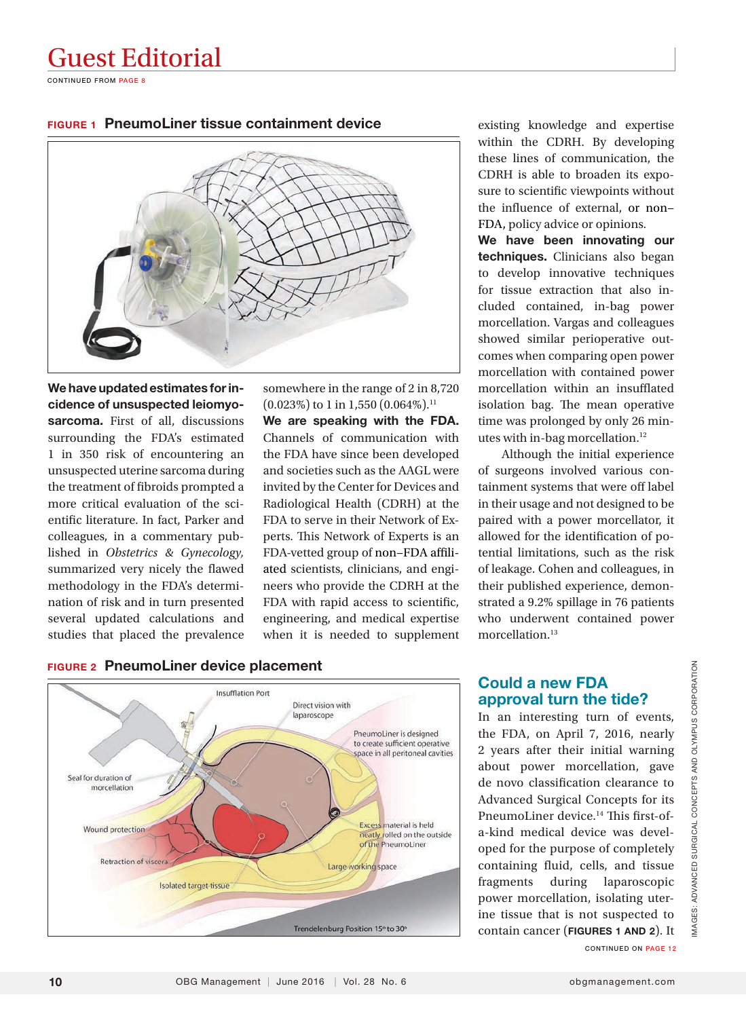### Guest Editorial

CONTINUED FROM PAGE 8

FIGURE 1 PneumoLiner tissue containment device



We have updated estimates for incidence of unsuspected leiomyosarcoma. First of all, discussions surrounding the FDA's estimated 1 in 350 risk of encountering an unsuspected uterine sarcoma during the treatment of fibroids prompted a more critical evaluation of the scientific literature. In fact, Parker and colleagues, in a commentary published in *Obstetrics & Gynecology,* summarized very nicely the flawed methodology in the FDA's determination of risk and in turn presented several updated calculations and studies that placed the prevalence

somewhere in the range of 2 in 8,720  $(0.023\%)$  to 1 in 1,550  $(0.064\%)$ .<sup>11</sup> We are speaking with the FDA. Channels of communication with

the FDA have since been developed and societies such as the AAGL were invited by the Center for Devices and Radiological Health (CDRH) at the FDA to serve in their Network of Experts. This Network of Experts is an FDA-vetted group of non−FDA affiliated scientists, clinicians, and engineers who provide the CDRH at the FDA with rapid access to scientific, engineering, and medical expertise when it is needed to supplement

existing knowledge and expertise within the CDRH. By developing these lines of communication, the CDRH is able to broaden its exposure to scientific viewpoints without the influence of external, or non− FDA, policy advice or opinions.

We have been innovating our techniques. Clinicians also began to develop innovative techniques for tissue extraction that also included contained, in-bag power morcellation. Vargas and colleagues showed similar perioperative outcomes when comparing open power morcellation with contained power morcellation within an insufflated isolation bag. The mean operative time was prolonged by only 26 minutes with in-bag morcellation.<sup>12</sup>

Although the initial experience of surgeons involved various containment systems that were off label in their usage and not designed to be paired with a power morcellator, it allowed for the identification of potential limitations, such as the risk of leakage. Cohen and colleagues, in their published experience, demonstrated a 9.2% spillage in 76 patients who underwent contained power morcellation.<sup>13</sup>

#### FIGURE 2 PneumoLiner device placement



#### Could a new FDA approval turn the tide?

In an interesting turn of events, the FDA, on April 7, 2016, nearly 2 years after their initial warning about power morcellation, gave de novo classification clearance to Advanced Surgical Concepts for its PneumoLiner device.<sup>14</sup> This first-ofa-kind medical device was developed for the purpose of completely containing fluid, cells, and tissue fragments during laparoscopic power morcellation, isolating uterine tissue that is not suspected to contain cancer (FIGURES 1 AND 2). It

CONTINUED ON PAGE 12